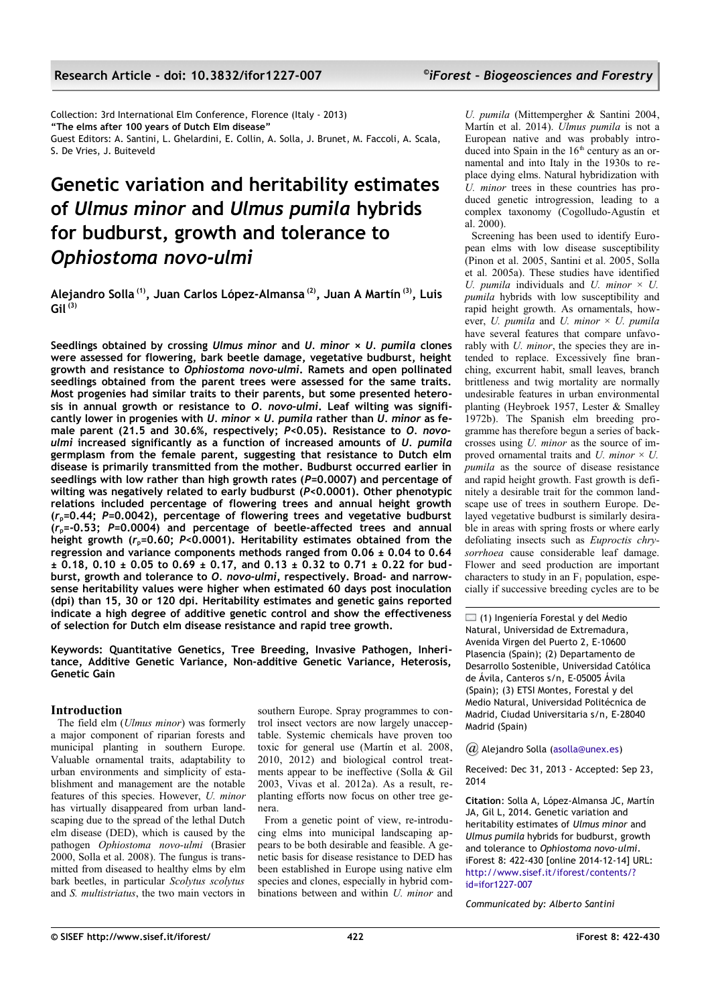Collection: 3rd International Elm Conference, Florence (Italy - 2013) **"The elms after 100 years of Dutch Elm disease"** Guest Editors: A. Santini, L. Ghelardini, E. Collin, A. Solla, J. Brunet, M. Faccoli, A. Scala, S. De Vries, J. Buiteveld

# **Genetic variation and heritability estimates of** *Ulmus minor* **and** *Ulmus pumila* **hybrids for budburst, growth and tolerance to**  *Ophiostoma novo-ulmi*

**Alejandro Solla (1), Juan Carlos López-Almansa (2), Juan A Martín (3), Luis Gil (3)**

**Seedlings obtained by crossing** *Ulmus minor* **and** *U. minor* **×** *U. pumila* **clones were assessed for flowering, bark beetle damage, vegetative budburst, height growth and resistance to** *Ophiostoma novo-ulmi***. Ramets and open pollinated seedlings obtained from the parent trees were assessed for the same traits. Most progenies had similar traits to their parents, but some presented heterosis in annual growth or resistance to** *O. novo-ulmi***. Leaf wilting was significantly lower in progenies with** *U. minor* **×** *U. pumila* **rather than** *U. minor* **as female parent (21.5 and 30.6%, respectively;** *P***<0.05). Resistance to** *O. novoulmi* **increased significantly as a function of increased amounts of** *U. pumila* **germplasm from the female parent, suggesting that resistance to Dutch elm disease is primarily transmitted from the mother. Budburst occurred earlier in seedlings with low rather than high growth rates (***P=***0.0007) and percentage of wilting was negatively related to early budburst (***P<***0.0001). Other phenotypic relations included percentage of flowering trees and annual height growth (***r***p=0.44;** *P***=0.0042), percentage of flowering trees and vegetative budburst (***r***p=-0.53;** *P***=0.0004) and percentage of beetle-affected trees and annual height growth (***r***p=0.60;** *P<***0.0001). Heritability estimates obtained from the regression and variance components methods ranged from 0.06 ± 0.04 to 0.64 ± 0.18, 0.10 ± 0.05 to 0.69 ± 0.17, and 0.13 ± 0.32 to 0.71 ± 0.22 for budburst, growth and tolerance to** *O. novo-ulmi***, respectively. Broad- and narrowsense heritability values were higher when estimated 60 days post inoculation (dpi) than 15, 30 or 120 dpi. Heritability estimates and genetic gains reported indicate a high degree of additive genetic control and show the effectiveness of selection for Dutch elm disease resistance and rapid tree growth.**

**Keywords: Quantitative Genetics, Tree Breeding, Invasive Pathogen, Inheritance, Additive Genetic Variance, Non-additive Genetic Variance, Heterosis, Genetic Gain**

## **Introduction**

The field elm (*Ulmus minor*) was formerly a major component of riparian forests and municipal planting in southern Europe. Valuable ornamental traits, adaptability to urban environments and simplicity of establishment and management are the notable features of this species. However, *U. minor* has virtually disappeared from urban landscaping due to the spread of the lethal Dutch elm disease (DED), which is caused by the pathogen *Ophiostoma novo-ulmi* (Brasier 2000, Solla et al. 2008). The fungus is transmitted from diseased to healthy elms by elm bark beetles, in particular *Scolytus scolytus* and *S. multistriatus*, the two main vectors in southern Europe. Spray programmes to control insect vectors are now largely unacceptable. Systemic chemicals have proven too toxic for general use (Martín et al. 2008, 2010, 2012) and biological control treatments appear to be ineffective (Solla & Gil 2003, Vivas et al. 2012a). As a result, replanting efforts now focus on other tree genera.

From a genetic point of view, re-introducing elms into municipal landscaping appears to be both desirable and feasible. A genetic basis for disease resistance to DED has been established in Europe using native elm species and clones, especially in hybrid combinations between and within *U. minor* and *U. pumila* (Mittempergher & Santini 2004, Martín et al. 2014). *Ulmus pumila* is not a European native and was probably introduced into Spain in the  $16<sup>th</sup>$  century as an ornamental and into Italy in the 1930s to replace dying elms. Natural hybridization with *U. minor* trees in these countries has produced genetic introgression, leading to a complex taxonomy (Cogolludo-Agustín et al. 2000).

Screening has been used to identify European elms with low disease susceptibility (Pinon et al. 2005, Santini et al. 2005, Solla et al. 2005a). These studies have identified *U. pumila* individuals and *U. minor* × *U. pumila* hybrids with low susceptibility and rapid height growth. As ornamentals, however, *U. pumila* and *U. minor* × *U. pumila* have several features that compare unfavorably with *U. minor*, the species they are intended to replace. Excessively fine branching, excurrent habit, small leaves, branch brittleness and twig mortality are normally undesirable features in urban environmental planting (Heybroek 1957, Lester & Smalley 1972b). The Spanish elm breeding programme has therefore begun a series of backcrosses using *U. minor* as the source of improved ornamental traits and *U. minor*  $\times$  *U. pumila* as the source of disease resistance and rapid height growth. Fast growth is definitely a desirable trait for the common landscape use of trees in southern Europe. Delayed vegetative budburst is similarly desirable in areas with spring frosts or where early defoliating insects such as *Euproctis chrysorrhoea* cause considerable leaf damage. Flower and seed production are important characters to study in an  $F_1$  population, especially if successive breeding cycles are to be

 $\Box$  (1) Ingeniería Forestal y del Medio Natural, Universidad de Extremadura, Avenida Virgen del Puerto 2, E-10600 Plasencia (Spain); (2) Departamento de Desarrollo Sostenible, Universidad Católica de Ávila, Canteros s/n, E-05005 Ávila (Spain); (3) ETSI Montes, Forestal y del Medio Natural, Universidad Politécnica de Madrid, Ciudad Universitaria s/n, E-28040 Madrid (Spain)

*@* Alejandro Solla [\(asolla@unex.es\)](mailto:)

Received: Dec 31, 2013 - Accepted: Sep 23, 2014

**Citation**: Solla A, López-Almansa JC, Martín JA, Gil L, 2014. Genetic variation and heritability estimates of *Ulmus minor* and *Ulmus pumila* hybrids for budburst, growth and tolerance to *Ophiostoma novo-ulmi*. iForest 8: 422-430 [online 2014-12-14] URL: [http://www.sisef.it/iforest/contents/?](http://www.sisef.it/iforest/contents/?id=ifor1227-007) [id=ifor1227-007](http://www.sisef.it/iforest/contents/?id=ifor1227-007)

*Communicated by: Alberto Santini*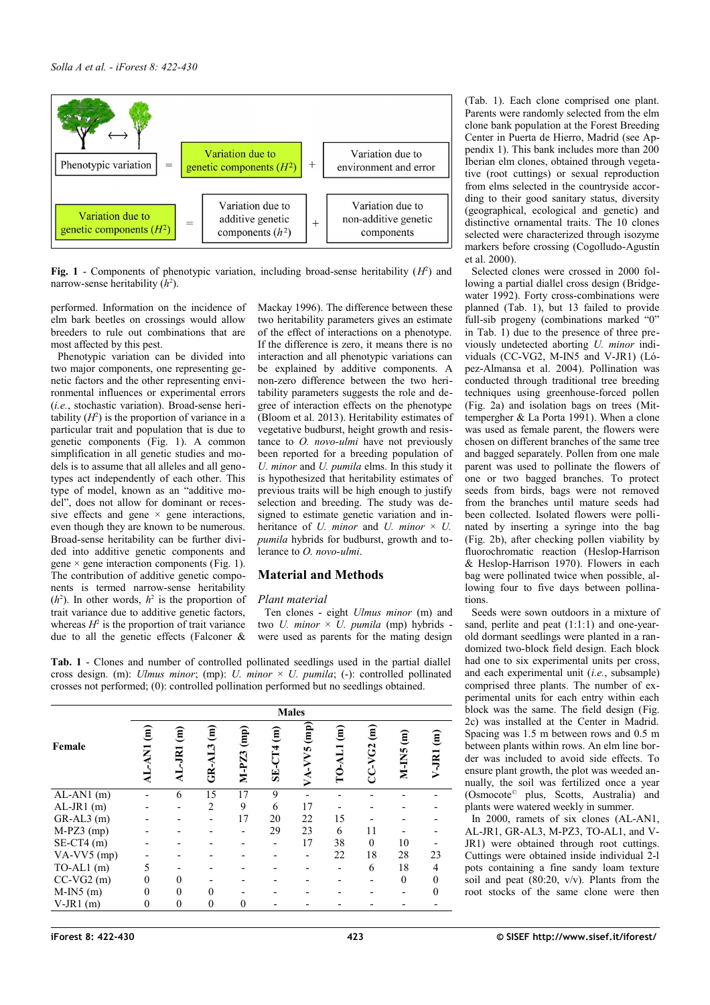

<span id="page-1-0"></span>**Fig. 1** - Components of phenotypic variation, including broad-sense heritability  $(H^2)$  and narrow-sense heritability  $(h^2)$ .

performed. Information on the incidence of elm bark beetles on crossings would allow breeders to rule out combinations that are most affected by this pest.

Phenotypic variation can be divided into two major components, one representing genetic factors and the other representing environmental influences or experimental errors (*i.e.*, stochastic variation). Broad-sense heritability  $(H^2)$  is the proportion of variance in a particular trait and population that is due to genetic components [\(Fig. 1\)](#page-1-0). A common simplification in all genetic studies and models is to assume that all alleles and all genotypes act independently of each other. This type of model, known as an "additive model", does not allow for dominant or recessive effects and gene  $\times$  gene interactions, even though they are known to be numerous. Broad-sense heritability can be further divided into additive genetic components and gene  $\times$  gene interaction components [\(Fig. 1\)](#page-1-0). The contribution of additive genetic components is termed narrow-sense heritability  $(h^2)$ . In other words,  $h^2$  is the proportion of trait variance due to additive genetic factors, whereas  $H^2$  is the proportion of trait variance due to all the genetic effects (Falconer &

Mackay 1996). The difference between these two heritability parameters gives an estimate of the effect of interactions on a phenotype. If the difference is zero, it means there is no interaction and all phenotypic variations can be explained by additive components. A non-zero difference between the two heritability parameters suggests the role and degree of interaction effects on the phenotype (Bloom et al. 2013). Heritability estimates of vegetative budburst, height growth and resistance to *O. novo-ulmi* have not previously been reported for a breeding population of *U. minor* and *U. pumila* elms. In this study it is hypothesized that heritability estimates of previous traits will be high enough to justify selection and breeding. The study was designed to estimate genetic variation and inheritance of *U. minor* and *U. minor*  $\times$  *U. pumila* hybrids for budburst, growth and tolerance to *O. novo-ulmi*.

## **Material and Methods**

## *Plant material*

Ten clones - eight *Ulmus minor* (m) and two *U. minor* × *U. pumila* (mp) hybrids were used as parents for the mating design

<span id="page-1-1"></span>**Tab. 1** - Clones and number of controlled pollinated seedlings used in the partial diallel cross design. (m): *Ulmus minor*; (mp): *U. minor* × *U. pumila*; (-): controlled pollinated crosses not performed; (0): controlled pollination performed but no seedlings obtained.

|                                |           |                                      |                                    |                         |                                    | <b>Males</b>                                                                       |        |                                    |                                 |                |
|--------------------------------|-----------|--------------------------------------|------------------------------------|-------------------------|------------------------------------|------------------------------------------------------------------------------------|--------|------------------------------------|---------------------------------|----------------|
| Female                         | ε<br>INV- | $\widehat{\mathbf{g}}$<br><b>IRL</b> | $\widehat{\mathsf{E}}$<br>$GR-AL3$ | $\binom{m}{n}$<br>M-PZ3 | $\widehat{\mathbf{g}}$<br>$SE-CT4$ | $\begin{pmatrix} \mathbf{m} \ \mathbf{m} \end{pmatrix}$<br>ΣÁ<br>$\mathbf{\Sigma}$ | €<br>2 | $\widehat{\mathbf{g}}$<br>$CC-VG2$ | $\widehat{\mathbf{g}}$<br>M-IN5 | ፪<br>V-JRI     |
| $\overline{\text{AL-AN1}}$ (m) |           | 6                                    | 15                                 | 17                      | 9                                  |                                                                                    |        |                                    |                                 |                |
| $AL-JR1$ (m)                   |           |                                      | $\overline{2}$                     | 9                       | 6                                  | 17                                                                                 |        |                                    |                                 |                |
| $GR-AL3$ (m)                   |           |                                      |                                    | 17                      | 20                                 | 22                                                                                 | 15     |                                    |                                 |                |
| $M-PZ3$ (mp)                   |           |                                      |                                    |                         | 29                                 | 23                                                                                 | 6      | 11                                 |                                 |                |
| $SE-CT4$ (m)                   |           |                                      |                                    |                         |                                    | 17                                                                                 | 38     | $\theta$                           | 10                              |                |
| VA-VV5 (mp)                    |           |                                      |                                    |                         |                                    |                                                                                    | 22     | 18                                 | 28                              | 23             |
| $TO-AL1$ (m)                   |           |                                      |                                    |                         |                                    |                                                                                    |        | 6                                  | 18                              | $\overline{4}$ |
| $CC-VG2(m)$                    | 0         |                                      |                                    |                         |                                    |                                                                                    |        |                                    | $\theta$                        |                |
| $M-IN5$ (m)                    |           | $\theta$                             | 0                                  |                         |                                    |                                                                                    |        |                                    |                                 |                |
| $V$ -JR1 $(m)$                 | $\theta$  | $\theta$                             | $\theta$                           | 0                       |                                    |                                                                                    |        |                                    |                                 |                |

[\(Tab. 1\)](#page-1-1). Each clone comprised one plant. Parents were randomly selected from the elm clone bank population at the Forest Breeding Center in Puerta de Hierro, Madrid (see [Ap](#page-8-0)[pendix 1\)](#page-8-0). This bank includes more than 200 Iberian elm clones, obtained through vegetative (root cuttings) or sexual reproduction from elms selected in the countryside according to their good sanitary status, diversity (geographical, ecological and genetic) and distinctive ornamental traits. The 10 clones selected were characterized through isozyme markers before crossing (Cogolludo-Agustín et al. 2000).

Selected clones were crossed in 2000 following a partial diallel cross design (Bridgewater 1992). Forty cross-combinations were planned [\(Tab. 1\)](#page-1-1), but 13 failed to provide full-sib progeny (combinations marked "0" in [Tab. 1\)](#page-1-1) due to the presence of three previously undetected aborting *U. minor* individuals (CC-VG2, M-IN5 and V-JR1) (López-Almansa et al. 2004). Pollination was conducted through traditional tree breeding techniques using greenhouse-forced pollen [\(Fig. 2a](#page-2-0)) and isolation bags on trees (Mittempergher & La Porta 1991). When a clone was used as female parent, the flowers were chosen on different branches of the same tree and bagged separately. Pollen from one male parent was used to pollinate the flowers of one or two bagged branches. To protect seeds from birds, bags were not removed from the branches until mature seeds had been collected. Isolated flowers were pollinated by inserting a syringe into the bag [\(Fig. 2b](#page-2-0)), after checking pollen viability by fluorochromatic reaction (Heslop-Harrison & Heslop-Harrison 1970). Flowers in each bag were pollinated twice when possible, allowing four to five days between pollinations.

Seeds were sown outdoors in a mixture of sand, perlite and peat  $(1:1:1)$  and one-yearold dormant seedlings were planted in a randomized two-block field design. Each block had one to six experimental units per cross, and each experimental unit (*i.e.*, subsample) comprised three plants. The number of experimental units for each entry within each block was the same. The field design [\(Fig.](#page-2-0) [2c](#page-2-0)) was installed at the Center in Madrid. Spacing was 1.5 m between rows and 0.5 m between plants within rows. An elm line border was included to avoid side effects. To ensure plant growth, the plot was weeded annually, the soil was fertilized once a year (Osmocote© plus, Scotts, Australia) and plants were watered weekly in summer.

In 2000, ramets of six clones (AL-AN1, AL-JR1, GR-AL3, M-PZ3, TO-AL1, and V-JR1) were obtained through root cuttings. Cuttings were obtained inside individual 2-l pots containing a fine sandy loam texture soil and peat  $(80:20, v/v)$ . Plants from the root stocks of the same clone were then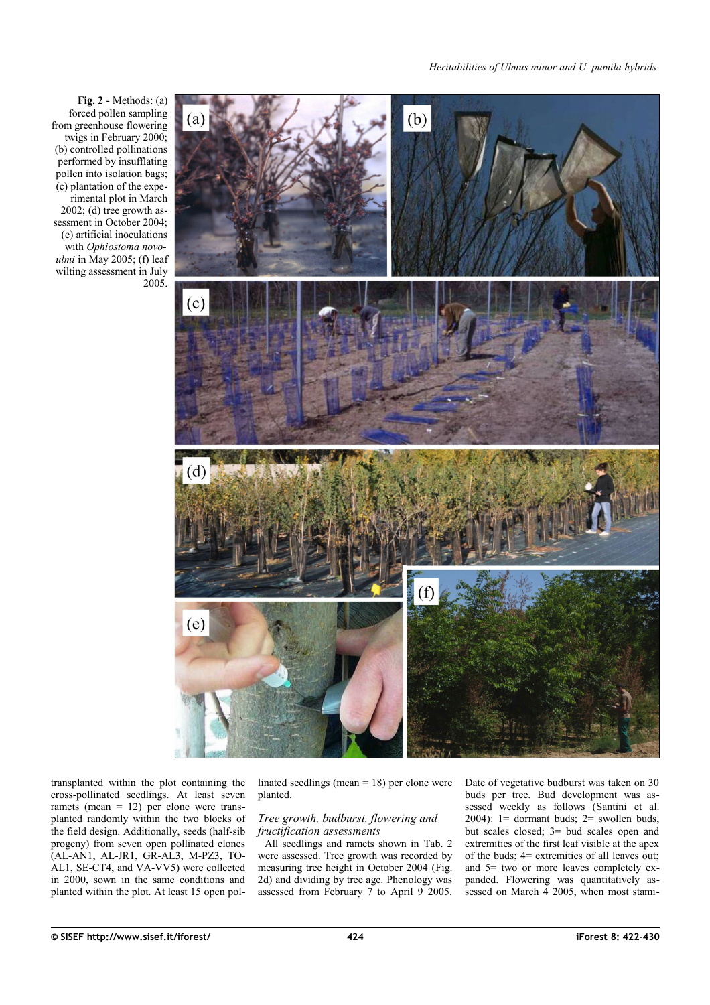

<span id="page-2-0"></span>**Fig. 2** - Methods: (a) forced pollen sampling from greenhouse flowering twigs in February 2000; (b) controlled pollinations performed by insufflating pollen into isolation bags; (c) plantation of the experimental plot in March 2002; (d) tree growth assessment in October 2004; (e) artificial inoculations with *Ophiostoma novo in May 2005; (f) leaf* wilting assessment in July 2005.

transplanted within the plot containing the cross-pollinated seedlings. At least seven ramets (mean  $= 12$ ) per clone were transplanted randomly within the two blocks of the field design. Additionally, seeds (half-sib progeny) from seven open pollinated clones (AL-AN1, AL-JR1, GR-AL3, M-PZ3, TO-AL1, SE-CT4, and VA-VV5) were collected in 2000, sown in the same conditions and planted within the plot. At least 15 open pollinated seedlings (mean = 18) per clone were planted.

## *Tree growth, budburst, flowering and fructification assessments*

All seedlings and ramets shown in [Tab. 2](#page-4-0) were assessed. Tree growth was recorded by measuring tree height in October 2004 [\(Fig.](#page-2-0) [2d](#page-2-0)) and dividing by tree age. Phenology was assessed from February 7 to April 9 2005. Date of vegetative budburst was taken on 30 buds per tree. Bud development was assessed weekly as follows (Santini et al. 2004):  $1 =$  dormant buds;  $2 =$  swollen buds, but scales closed; 3= bud scales open and extremities of the first leaf visible at the apex of the buds; 4= extremities of all leaves out; and 5= two or more leaves completely expanded. Flowering was quantitatively assessed on March 4 2005, when most stami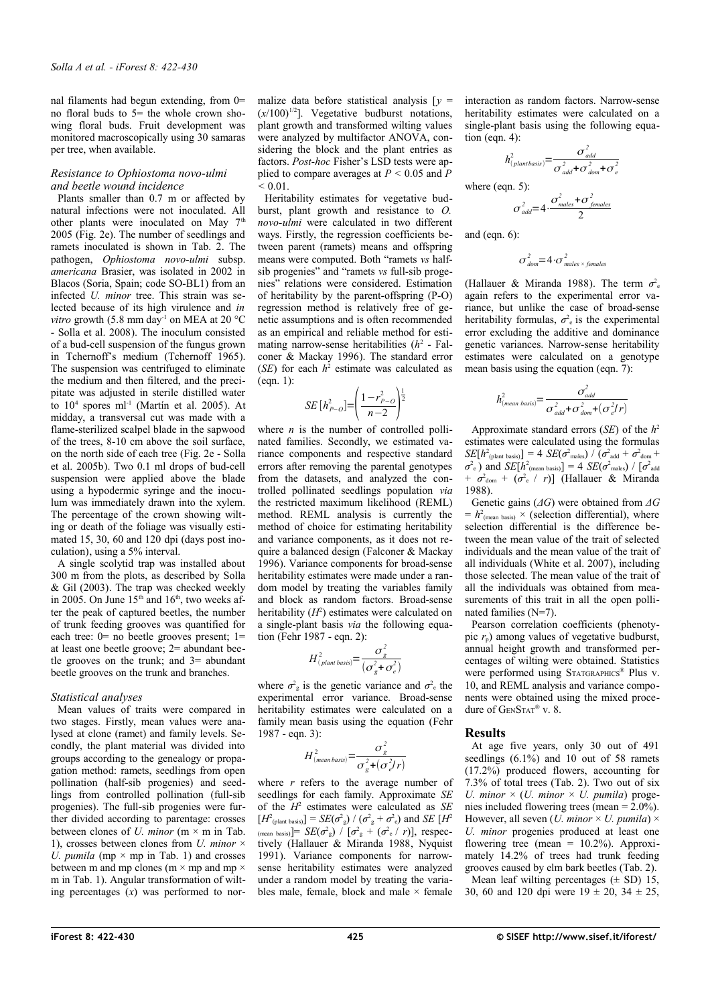nal filaments had begun extending, from 0= no floral buds to  $5$ = the whole crown showing floral buds. Fruit development was monitored macroscopically using 30 samaras per tree, when available.

#### *Resistance to Ophiostoma novo-ulmi and beetle wound incidence*

Plants smaller than 0.7 m or affected by natural infections were not inoculated. All other plants were inoculated on May  $7<sup>th</sup>$ 2005 [\(Fig. 2e](#page-2-0)). The number of seedlings and ramets inoculated is shown in [Tab. 2.](#page-4-0) The pathogen, *Ophiostoma novo-ulmi* subsp. *americana* Brasier, was isolated in 2002 in Blacos (Soria, Spain; code SO-BL1) from an infected *U. minor* tree. This strain was selected because of its high virulence and *in vitro* growth (5.8 mm day<sup>-1</sup> on MEA at 20 °C - Solla et al. 2008). The inoculum consisted of a bud-cell suspension of the fungus grown in Tchernoff's medium (Tchernoff 1965). The suspension was centrifuged to eliminate the medium and then filtered, and the precipitate was adjusted in sterile distilled water to  $10^4$  spores ml<sup>-1</sup> (Martín et al. 2005). At midday, a transversal cut was made with a flame-sterilized scalpel blade in the sapwood of the trees, 8-10 cm above the soil surface, on the north side of each tree [\(Fig. 2e](#page-2-0) - Solla et al. 2005b). Two 0.1 ml drops of bud-cell suspension were applied above the blade using a hypodermic syringe and the inoculum was immediately drawn into the xylem. The percentage of the crown showing wilting or death of the foliage was visually estimated 15, 30, 60 and 120 dpi (days post inoculation), using a 5% interval.

A single scolytid trap was installed about 300 m from the plots, as described by Solla & Gil (2003). The trap was checked weekly in 2005. On June  $15<sup>th</sup>$  and  $16<sup>th</sup>$ , two weeks after the peak of captured beetles, the number of trunk feeding grooves was quantified for each tree:  $0=$  no beetle grooves present;  $1=$ at least one beetle groove; 2= abundant beetle grooves on the trunk; and 3= abundant beetle grooves on the trunk and branches.

#### *Statistical analyses*

Mean values of traits were compared in two stages. Firstly, mean values were analysed at clone (ramet) and family levels. Secondly, the plant material was divided into groups according to the genealogy or propagation method: ramets, seedlings from open pollination (half-sib progenies) and seedlings from controlled pollination (full-sib progenies). The full-sib progenies were further divided according to parentage: crosses between clones of *U. minor* (m × m in [Tab.](#page-1-1) [1\)](#page-1-1), crosses between clones from *U. minor* × *U. pumila* (mp  $\times$  mp in [Tab. 1\)](#page-1-1) and crosses between m and mp clones ( $m \times mp$  and mp  $\times$ m in [Tab. 1\)](#page-1-1). Angular transformation of wilting percentages (*x*) was performed to normalize data before statistical analysis  $\lceil v \rceil$  $(x/100)^{1/2}$ ]. Vegetative budburst notations, plant growth and transformed wilting values were analyzed by multifactor ANOVA, considering the block and the plant entries as factors. *Post-hoc* Fisher's LSD tests were applied to compare averages at  $P < 0.05$  and  $P$ *<* 0.01.

Heritability estimates for vegetative budburst, plant growth and resistance to *O. novo-ulmi* were calculated in two different ways. Firstly, the regression coefficients between parent (ramets) means and offspring means were computed. Both "ramets *vs* halfsib progenies" and "ramets *vs* full-sib progenies" relations were considered. Estimation of heritability by the parent-offspring (P-O) regression method is relatively free of genetic assumptions and is often recommended as an empirical and reliable method for estimating narrow-sense heritabilities  $(h^2 - Fal$ coner & Mackay 1996). The standard error (*SE*) for each  $h^2$  estimate was calculated as (eqn. 1):

$$
SE\left[h_{P-O}^{2}\right] = \left(\frac{1 - r_{P-O}^{2}}{n - 2}\right)^{\frac{1}{2}}
$$

where  $n$  is the number of controlled pollinated families. Secondly, we estimated variance components and respective standard errors after removing the parental genotypes from the datasets, and analyzed the controlled pollinated seedlings population *via* the restricted maximum likelihood (REML) method. REML analysis is currently the method of choice for estimating heritability and variance components, as it does not require a balanced design (Falconer & Mackay 1996). Variance components for broad-sense heritability estimates were made under a random model by treating the variables family and block as random factors. Broad-sense heritability  $(H^2)$  estimates were calculated on a single-plant basis *via* the following equation (Fehr 1987 - eqn. 2):

$$
H_{(plant \, basis)}^2 = \frac{\sigma_g^2}{\left(\sigma_g^2 + \sigma_e^2\right)}
$$

where  $\sigma_{\rm g}^2$  is the genetic variance and  $\sigma_{\rm e}^2$  the experimental error variance. Broad-sense heritability estimates were calculated on a family mean basis using the equation (Fehr 1987 - eqn. 3):

$$
H_{(mean basis)}^2 = \frac{\sigma_g^2}{\sigma_g^2 + (\sigma_e^2/r)}
$$

where *r* refers to the average number of seedlings for each family. Approximate *SE* of the *H* 2 estimates were calculated as *SE*  $[H^2_{\text{(plant basis)}}] = SE(\sigma_{\text{g}}^2) / (\sigma_{\text{g}}^2 + \sigma_{\text{e}}^2)$  and *SE*  $[H^2]$  $\sigma_{\text{mean basis}}$ ] =  $SE(\sigma_{\text{g}}^2) / [\sigma_{\text{g}}^2 + (\sigma_{\text{e}}^2 / r)]$ , respectively (Hallauer & Miranda 1988, Nyquist 1991). Variance components for narrowsense heritability estimates were analyzed under a random model by treating the variables male, female, block and male  $\times$  female interaction as random factors. Narrow-sense heritability estimates were calculated on a single-plant basis using the following equation (eqn. 4):

$$
h_{(plant basis)}^2 = \frac{\sigma_{add}^2}{\sigma_{add}^2 + \sigma_{dom}^2 + \sigma_e^2}
$$
  
where (eqn. 5):

$$
\sigma_{\text{add}}^2=4.\frac{\sigma_{\text{males}}^2+\sigma_{\text{jemales}}^2}{2}
$$

and (eqn.  $6$ ):

$$
\sigma^2_{\text{dom}}=4\cdot\sigma^2_{\text{males}\times\text{females}}
$$

(Hallauer & Miranda 1988). The term  $\sigma_{\rm e}^2$ again refers to the experimental error variance, but unlike the case of broad-sense heritability formulas,  $\sigma_{\rm e}^2$  is the experimental error excluding the additive and dominance genetic variances. Narrow-sense heritability estimates were calculated on a genotype mean basis using the equation (eqn. 7):

$$
h_{(mean \, basis)}^{2} = \frac{\sigma_{add}^{2}}{\sigma_{add}^{2} + \sigma_{dom}^{2} + (\sigma_{e}^{2}/r)}
$$

Approximate standard errors (*SE*) of the *h* 2 estimates were calculated using the formulas  $SE[h^2_{\text{(plant basis)}}] = 4 \, \overline{SE(\sigma^2_{\text{ males}})} / (\sigma^2_{\text{add}} + \sigma^2_{\text{dom}} +$  $\sigma^2$ <sub>e</sub>) and *SE*[*h*<sup>2</sup><sub>(mean basis)] = 4 *SE*( $\sigma^2$ <sub>males</sub>) / [ $\sigma^2$ <sub>add</sub></sub> +  $\sigma^2$ <sub>dom</sub> +  $(\sigma^2 e / r)$ ] (Hallauer & Miranda 1988).

Genetic gains (*ΔG*) were obtained from *ΔG*  $= h<sup>2</sup>(mean basis) \times$  (selection differential), where selection differential is the difference between the mean value of the trait of selected individuals and the mean value of the trait of all individuals (White et al. 2007), including those selected. The mean value of the trait of all the individuals was obtained from measurements of this trait in all the open pollinated families (N=7).

Pearson correlation coefficients (phenotypic *r*p) among values of vegetative budburst, annual height growth and transformed percentages of wilting were obtained. Statistics were performed using STATGRAPHICS® Plus v. 10, and REML analysis and variance components were obtained using the mixed procedure of GENSTAT® v. 8.

#### **Results**

At age five years, only 30 out of 491 seedlings  $(6.1\%)$  and 10 out of 58 ramets (17.2%) produced flowers, accounting for 7.3% of total trees [\(Tab. 2\)](#page-4-0). Two out of six *U. minor*  $\times$  *(U. minor*  $\times$  *U. pumila*) progenies included flowering trees (mean  $= 2.0\%$ ). However, all seven (*U. minor*  $\times$  *U. pumila*)  $\times$ *U. minor* progenies produced at least one flowering tree (mean =  $10.2\%$ ). Approximately 14.2% of trees had trunk feeding grooves caused by elm bark beetles [\(Tab. 2\)](#page-4-0). Mean leaf wilting percentages  $(\pm$  SD) 15, 30, 60 and 120 dpi were  $19 \pm 20$ ,  $34 \pm 25$ ,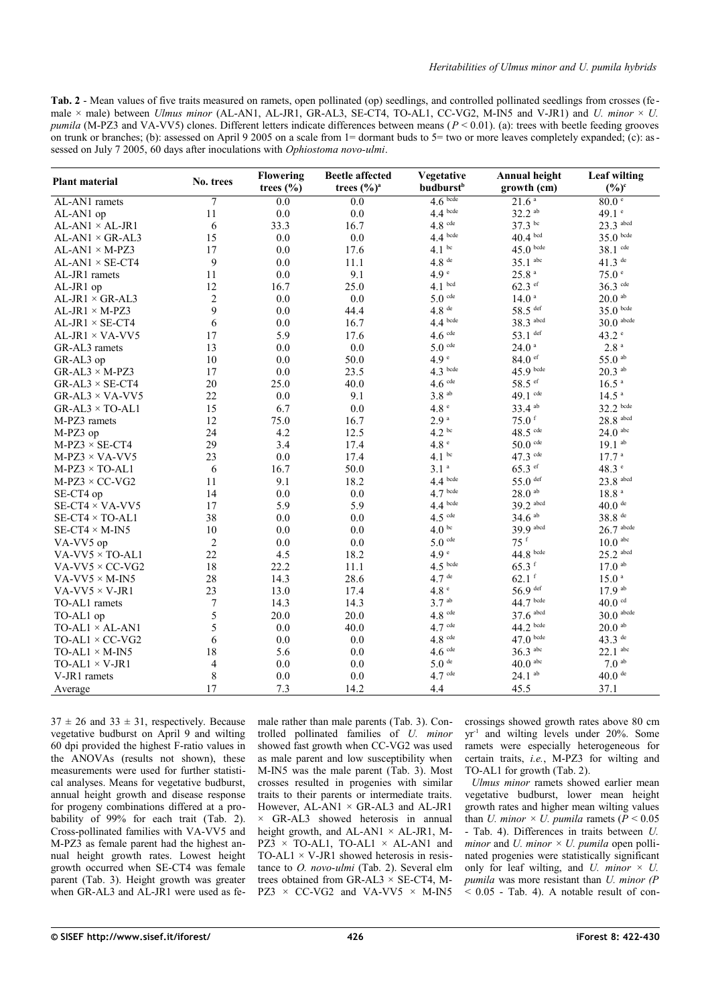<span id="page-4-0"></span>Tab. 2 - Mean values of five traits measured on ramets, open pollinated (op) seedlings, and controlled pollinated seedlings from crosses (female  $\times$  male) between *Ulmus minor* (AL-AN1, AL-JR1, GR-AL3, SE-CT4, TO-AL1, CC-VG2, M-IN5 and V-JR1) and *U. minor*  $\times$  *U. pumila* (M-PZ3 and VA-VV5) clones. Different letters indicate differences between means (*P* < 0.01). (a): trees with beetle feeding grooves on trunk or branches; (b): assessed on April 9 2005 on a scale from 1= dormant buds to 5= two or more leaves completely expanded; (c): assessed on July 7 2005, 60 days after inoculations with *Ophiostoma novo-ulmi*.

| <b>Plant material</b>       | No. trees      | <b>Flowering</b><br>trees $(\% )$ | <b>Beetle</b> affected<br>trees $(\frac{6}{9})^a$ | Vegetative<br><b>budburst</b> <sup>b</sup> | <b>Annual height</b><br>growth (cm) | <b>Leaf wilting</b><br>$(\frac{6}{6})^c$ |
|-----------------------------|----------------|-----------------------------------|---------------------------------------------------|--------------------------------------------|-------------------------------------|------------------------------------------|
| AL-AN1 ramets               | $\overline{7}$ | 0.0                               | 0.0                                               | $4.6$ bcde                                 | 21.6 <sup>a</sup>                   | 80.0 <sup>e</sup>                        |
| AL-AN1 op                   | 11             | 0.0                               | 0.0                                               | $4.4$ bcde                                 | 32.2 ab                             | 49.1 $^{\circ}$                          |
| $AL-AN1 \times AL-JR1$      | 6              | 33.3                              | 16.7                                              | $4.8$ cde                                  | 37.3 bc                             | 23.3 abcd                                |
| $AL-AN1 \times GR-AL3$      | 15             | 0.0                               | 0.0                                               | $4.4$ bcde                                 | $40.4$ bcd                          | $35.0$ bcde                              |
| $AL-AN1 \times M- PZ3$      | 17             | 0.0                               | 17.6                                              | 4.1 <sup>bc</sup>                          | $45.0$ bcde                         | 38.1 cde                                 |
| $AL-AN1 \times SE-CT4$      | 9              | 0.0                               | 11.1                                              | $4.8$ $^{\rm de}$                          | $35.1$ abc                          | $41.3$ de                                |
| AL-JR1 ramets               | 11             | 0.0                               | 9.1                                               | 4.9 <sup>e</sup>                           | 25.8 <sup>a</sup>                   | 75.0 <sup>e</sup>                        |
| AL-JR1 op                   | 12             | 16.7                              | 25.0                                              | 4.1 <sup>bcd</sup>                         | $62.3$ ef                           | 36.3 cde                                 |
| $AL$ -JR $1 \times GR$ -AL3 | $\overline{c}$ | 0.0                               | 0.0                                               | $5.0$ cde                                  | $14.0$ $^{\circ}$                   | $20.0\ ^{\rm ab}$                        |
| $AL-JR1 \times M-PZ3$       | 9              | 0.0                               | 44.4                                              | $4.8$ <sup>de</sup>                        | 58.5 def                            | $35.0$ bcde                              |
| $AL$ -JR1 $\times$ SE-CT4   | 6              | 0.0                               | 16.7                                              | $4.4$ bcde                                 | 38.3 abcd                           | $30.0$ abcde                             |
| $AL$ -JR1 × VA-VV5          | 17             | 5.9                               | 17.6                                              | $4.6$ cde                                  | 53.1 def                            | 43.2 e                                   |
| GR-AL3 ramets               | 13             | 0.0                               | 0.0                                               | $5.0$ cde                                  | 24.0 <sup>a</sup>                   | 2.8 <sup>a</sup>                         |
| GR-AL3 op                   | 10             | 0.0                               | 50.0                                              | 4.9 <sup>e</sup>                           | $84.0$ ef                           | 55.0 <sup>ab</sup>                       |
| $GR-AL3 \times M- PZ3$      | 17             | 0.0                               | 23.5                                              | $4.3$ bcde                                 | 45.9 bcde                           | $20.3$ <sup>ab</sup>                     |
| $GR-AL3 \times SE-CT4$      | 20             | 25.0                              | 40.0                                              | $4.6$ cde                                  | 58.5 ef                             | 16.5 <sup>a</sup>                        |
| $GR-AL3 \times VA-VV5$      | 22             | 0.0                               | 9.1                                               | 3.8 <sup>ab</sup>                          | 49.1 cde                            | 14.5 <sup>a</sup>                        |
| $GR-AL3 \times TO-AL1$      | 15             | 6.7                               | 0.0                                               | 4.8 <sup>e</sup>                           | 33.4 ab                             | $32.2$ bcde                              |
| M-PZ3 ramets                | 12             | 75.0                              | 16.7                                              | 2.9 <sup>a</sup>                           | $75.0$ f                            | $28.8$ <sup>abcd</sup>                   |
| M-PZ3 op                    | 24             | 4.2                               | 12.5                                              | 4.2 <sup>bc</sup>                          | $48.5$ <sup>cde</sup>               | $24.0\ ^{\rm abc}$                       |
| $M-PZ3 \times SE-CT4$       | 29             | 3.4                               | 17.4                                              | 4.8 <sup>e</sup>                           | $50.0$ cde                          | $19.1^{ab}$                              |
| $M-PZ3 \times VA-VV5$       | 23             | 0.0                               | 17.4                                              | $4.1$ bc                                   | 47.3 cde                            | 17.7 <sup>a</sup>                        |
| $M-PZ3 \times TO-AL1$       | 6              | 16.7                              | 50.0                                              | 3.1 <sup>a</sup>                           | $65.3$ ef                           | 48.3 e                                   |
| $M-PZ3 \times CC-VG2$       | 11             | 9.1                               | 18.2                                              | $4.4$ bcde                                 | 55.0 def                            | $23.8$ <sup>abcd</sup>                   |
| SE-CT4 op                   | 14             | 0.0                               | 0.0                                               | $4.7$ bcde                                 | $28.0$ <sup>ab</sup>                | 18.8 <sup>a</sup>                        |
| $SE-CT4 \times VA-VV5$      | 17             | 5.9                               | 5.9                                               | $4.4$ bcde                                 | 39.2 abcd                           | $40.0$ <sup>de</sup>                     |
| $SE-CT4 \times TO-AL1$      | 38             | 0.0                               | 0.0                                               | $4.5$ <sup>cde</sup>                       | $34.6$ <sup>ab</sup>                | 38.8 de                                  |
| $SE-CT4 \times M-INS$       | 10             | 0.0                               | 0.0                                               | 4.0 <sup>bc</sup>                          | 39.9 abcd                           | $26.7$ abcde                             |
| VA-VV5 op                   | $\overline{2}$ | 0.0                               | 0.0                                               | $5.0$ cde                                  | $75$ <sup>f</sup>                   | $10.0$ abc                               |
| $VA-VV5 \times TO-AL1$      | 22             | 4.5                               | 18.2                                              | 4.9 <sup>e</sup>                           | 44.8 bcde                           | $25.2$ <sup>abcd</sup>                   |
| $VA-VV5 \times CC-VG2$      | 18             | 22.2                              | 11.1                                              | $4.5$ bcde                                 | $65.3$ f                            | $17.0$ ab                                |
| VA-VV5 $\times$ M-IN5       | 28             | 14.3                              | 28.6                                              | $4.7$ $^{\rm de}$                          | $62.1$ f                            | 15.0 <sup>a</sup>                        |
| VA-VV5 $\times$ V-JR1       | 23             | 13.0                              | 17.4                                              | 4.8 <sup>e</sup>                           | 56.9 def                            | $17.9$ ab                                |
| TO-AL1 ramets               | 7              | 14.3                              | 14.3                                              | $3.7$ <sup>ab</sup>                        | 44.7 bcde                           | $40.0$ <sup>cd</sup>                     |
| TO-AL1 op                   | 5              | 20.0                              | 20.0                                              | $4.8$ cde                                  | 37.6 abcd                           | $30.0$ abcde                             |
| $TO-AL1 \times AL-AN1$      | 5              | 0.0                               | 40.0                                              | $4.7$ <sup>cde</sup>                       | $44.2$ bcde                         | 20.0 <sup>ab</sup>                       |
| $TO-AL1 \times CC-VG2$      | 6              | 0.0                               | 0.0                                               | $4.8$ cde                                  | $47.0$ bcde                         | 43.3 $de$                                |
| $TO-AL1 \times M-IN5$       | 18             | 5.6                               | 0.0                                               | $4.6$ $^{\rm cde}$                         | 36.3 abc                            | $22.1$ <sup>abc</sup>                    |
| $TO-AL1 \times V-JR1$       | 4              | 0.0                               | 0.0                                               | $5.0$ $^{\rm{de}}$                         | $40.0$ abc                          | $7.0\ ^{\rm ab}$                         |
| V-JR1 ramets                | 8              | 0.0                               | 0.0                                               | $4.7$ cde                                  | $24.1$ <sup>ab</sup>                | $40.0$ <sup>de</sup>                     |
| Average                     | 17             | 7.3                               | 14.2                                              | 4.4                                        | 45.5                                | 37.1                                     |
|                             |                |                                   |                                                   |                                            |                                     |                                          |

 $37 \pm 26$  and  $33 \pm 31$ , respectively. Because vegetative budburst on April 9 and wilting 60 dpi provided the highest F-ratio values in the ANOVAs (results not shown), these measurements were used for further statistical analyses. Means for vegetative budburst, annual height growth and disease response for progeny combinations differed at a pro-bability of 99% for each trait [\(Tab. 2\)](#page-4-0). Cross-pollinated families with VA-VV5 and M-PZ3 as female parent had the highest annual height growth rates. Lowest height growth occurred when SE-CT4 was female parent [\(Tab. 3\)](#page-5-1). Height growth was greater when GR-AL3 and AL-JR1 were used as fe-

male rather than male parents [\(Tab. 3\)](#page-5-1). Controlled pollinated families of *U. minor* showed fast growth when CC-VG2 was used as male parent and low susceptibility when M-IN5 was the male parent [\(Tab. 3\)](#page-5-1). Most crosses resulted in progenies with similar traits to their parents or intermediate traits. However,  $AL-AN1 \times GR-AL3$  and  $AL-JR1$  $\times$  GR-AL3 showed heterosis in annual height growth, and  $AI-ANI \times AI$ -JR1, M- $PZ3 \times TO-AL1$ , TO-AL1  $\times$  AL-AN1 and TO-AL1  $\times$  V-JR1 showed heterosis in resistance to *O. novo-ulmi* [\(Tab. 2\)](#page-4-0). Several elm trees obtained from GR-AL3  $\times$  SE-CT4, M- $PZ3 \times CC-VG2$  and VA-VV5  $\times$  M-IN5

crossings showed growth rates above 80 cm yr-1 and wilting levels under 20%. Some ramets were especially heterogeneous for certain traits, *i.e.*, M-PZ3 for wilting and TO-AL1 for growth [\(Tab. 2\)](#page-4-0).

*Ulmus minor* ramets showed earlier mean vegetative budburst, lower mean height growth rates and higher mean wilting values than *U. minor*  $\times$  *U. pumila* ramets ( $\overline{P}$  < 0.05) - [Tab. 4\)](#page-5-0). Differences in traits between *U. minor* and *U. minor*  $\times$  *U. pumila* open pollinated progenies were statistically significant only for leaf wilting, and *U. minor*  $\times$  *U. pumila* was more resistant than *U. minor (P*  $\sim$  0.05 - [Tab. 4\)](#page-5-0). A notable result of con-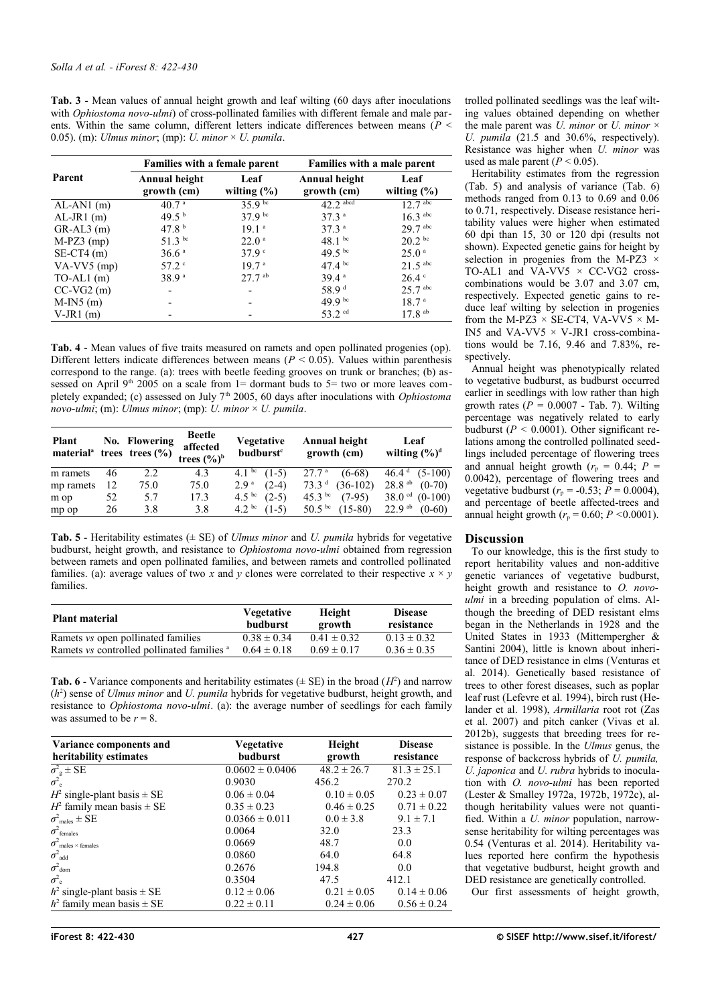<span id="page-5-1"></span>**Tab. 3** - Mean values of annual height growth and leaf wilting (60 days after inoculations with *Ophiostoma novo-ulmi*) of cross-pollinated families with different female and male parents. Within the same column, different letters indicate differences between means (*P* < 0.05). (m): *Ulmus minor*; (mp): *U. minor* × *U. pumila*.

|                | <b>Families with a female parent</b> |                         | Families with a male parent  |                              |  |
|----------------|--------------------------------------|-------------------------|------------------------------|------------------------------|--|
| Parent         | Annual height<br>growth (cm)         | Leaf<br>wilting $(\% )$ | Annual height<br>growth (cm) | Leaf<br>wilting $(\%)$       |  |
| $AL-AN1$ (m)   | 40.7 <sup>a</sup>                    | 359 <sup>bc</sup>       | $42.2$ <sup>abcd</sup>       | $12.7 \text{ }^{\text{abc}}$ |  |
| $AL-JR1$ (m)   | 49.5 <sup>b</sup>                    | $379$ bc                | 37.3 <sup>a</sup>            | $16.3$ <sup>abc</sup>        |  |
| $GR-AL3$ (m)   | 47.8 <sup>b</sup>                    | 191 <sup>a</sup>        | 37.3 <sup>a</sup>            | 29.7 abc                     |  |
| $M-PZ3$ (mp)   | 51.3 bc                              | $22.0^{\circ}$          | $48.1$ bc                    | $20.2 \text{ }^{\circ}$      |  |
| $SE-CT4$ (m)   | 36.6 <sup>a</sup>                    | 379 $\degree$           | 49.5 bc                      | 25.0 <sup>a</sup>            |  |
| $VA-VV5$ (mp)  | $57.2$ $\degree$                     | 197 <sup>a</sup>        | $47.4^{bc}$                  | $21.5$ <sup>abc</sup>        |  |
| $TO-AL1$ (m)   | 38.9 <sup>a</sup>                    | $27.7$ <sup>ab</sup>    | 39.4a                        | $26.4$ $\degree$             |  |
| $CC-VG2(m)$    |                                      |                         | 58.9 <sup>d</sup>            | $25.7$ abc                   |  |
| $M-IN5$ (m)    |                                      |                         | $49.9^{bc}$                  | 18.7 <sup>a</sup>            |  |
| $V$ -JR1 $(m)$ |                                      |                         | 53.2 <sup>cd</sup>           | $17.8$ <sup>ab</sup>         |  |

<span id="page-5-0"></span>**Tab. 4** - Mean values of five traits measured on ramets and open pollinated progenies (op). Different letters indicate differences between means ( $P < 0.05$ ). Values within parenthesis correspond to the range. (a): trees with beetle feeding grooves on trunk or branches; (b) assessed on April 9<sup>th</sup> 2005 on a scale from  $1=$  dormant buds to  $5=$  two or more leaves completely expanded; (c) assessed on July 7th 2005, 60 days after inoculations with *Ophiostoma novo-ulmi*; (m): *Ulmus minor*; (mp): *U. minor* × *U. pumila*.

| Plant     |    | No. Flowering<br>material <sup>a</sup> trees trees $(\% )$ | <b>Beetle</b><br>affected<br>trees $(\frac{6}{6})^b$ | <b>Vegetative</b><br>budburst <sup>c</sup> | Annual height<br>growth (cm)  | Leaf<br>wilting $(\frac{6}{6})^d$ |
|-----------|----|------------------------------------------------------------|------------------------------------------------------|--------------------------------------------|-------------------------------|-----------------------------------|
| m ramets  | 46 | 2.2                                                        | 4.3                                                  | 4.1 bc $(1-5)$                             | $(6-68)$<br>27.7 <sup>a</sup> | $46.4d$ (5-100)                   |
| mp ramets | 12 | 75.0                                                       | 75.0                                                 | $(2-4)$<br>2.9 <sup>a</sup>                | $73.3d$ (36-102)              | $28.8$ <sup>ab</sup><br>$(0-70)$  |
| m op      | 52 | 5.7                                                        | 17.3                                                 | $4.5^{bc}$<br>$(2-5)$                      | 45.3 bc<br>$(7-95)$           | $38.0$ <sup>cd</sup><br>$(0-100)$ |
| mp op     | 26 | 3.8                                                        | 3.8                                                  | 4.2 <sup>bc</sup><br>$(1-5)$               | 50.5 bc<br>$(15-80)$          | $22.9$ <sup>ab</sup><br>$(0-60)$  |

<span id="page-5-3"></span>**Tab. 5** - Heritability estimates ( $\pm$  SE) of *Ulmus minor* and *U. pumila* hybrids for vegetative budburst, height growth, and resistance to *Ophiostoma novo-ulmi* obtained from regression between ramets and open pollinated families, and between ramets and controlled pollinated families. (a): average values of two *x* and *y* clones were correlated to their respective  $x \times y$ families.

| <b>Plant material</b>                                 | <b>Vegetative</b><br>budburst | Height<br>growth | <b>Disease</b><br>resistance |
|-------------------------------------------------------|-------------------------------|------------------|------------------------------|
| Ramets vs open pollinated families                    | $0.38 \pm 0.34$               | $0.41 \pm 0.32$  | $0.13 \pm 0.32$              |
| Ramets vs controlled pollinated families <sup>a</sup> | $0.64 \pm 0.18$               | $0.69 \pm 0.17$  | $0.36 \pm 0.35$              |

<span id="page-5-2"></span>**Tab. 6** - Variance components and heritability estimates ( $\pm$  SE) in the broad ( $H^2$ ) and narrow (*h* 2 ) sense of *Ulmus minor* and *U. pumila* hybrids for vegetative budburst, height growth, and resistance to *Ophiostoma novo-ulmi*. (a): the average number of seedlings for each family was assumed to be  $r = 8$ .

| Variance components and<br>heritability estimates | <b>Vegetative</b><br>budburst | Height<br>growth | <b>Disease</b><br>resistance |
|---------------------------------------------------|-------------------------------|------------------|------------------------------|
| $\sigma^2$ <sub>g</sub> ± SE                      | $0.0602 \pm 0.0406$           | $48.2 \pm 26.7$  | $81.3 \pm 25.1$              |
| $\sigma^2$ <sub>e</sub>                           | 0.9030                        | 456.2            | 270.2                        |
| $H^2$ single-plant basis $\pm$ SE                 | $0.06 \pm 0.04$               | $0.10 \pm 0.05$  | $0.23 \pm 0.07$              |
| $H^2$ family mean basis $\pm$ SE                  | $0.35 \pm 0.23$               | $0.46 \pm 0.25$  | $0.71 \pm 0.22$              |
| $\sigma^2$ <sub>males</sub> $\pm$ SE              | $0.0366 \pm 0.011$            | $0.0 \pm 3.8$    | $9.1 \pm 7.1$                |
| $\sigma^2$ females                                | 0.0064                        | 32.0             | 23.3                         |
| $\sigma$ <sup>2</sup> males × females             | 0.0669                        | 48.7             | 0.0                          |
| $\sigma^2$ add                                    | 0.0860                        | 64.0             | 64.8                         |
| $\sigma^2$ <sub>dom</sub>                         | 0.2676                        | 194.8            | 0.0                          |
| $\sigma^2$ <sub>e</sub>                           | 0.3504                        | 47.5             | 412.1                        |
| $h^2$ single-plant basis $\pm$ SE                 | $0.12 \pm 0.06$               | $0.21 \pm 0.05$  | $0.14 \pm 0.06$              |
| $h^2$ family mean basis $\pm$ SE                  | $0.22 \pm 0.11$               | $0.24 \pm 0.06$  | $0.56 \pm 0.24$              |

trolled pollinated seedlings was the leaf wilting values obtained depending on whether the male parent was *U. minor* or *U. minor*  $\times$ *U. pumila* (21.5 and 30.6%, respectively). Resistance was higher when *U. minor* was used as male parent  $(P < 0.05)$ .

Heritability estimates from the regression [\(Tab. 5\)](#page-5-3) and analysis of variance [\(Tab. 6\)](#page-5-2) methods ranged from 0.13 to 0.69 and 0.06 to 0.71, respectively. Disease resistance heritability values were higher when estimated 60 dpi than 15, 30 or 120 dpi (results not shown). Expected genetic gains for height by selection in progenies from the M-PZ3  $\times$ TO-AL1 and VA-VV5  $\times$  CC-VG2 crosscombinations would be 3.07 and 3.07 cm, respectively. Expected genetic gains to reduce leaf wilting by selection in progenies from the M-PZ3  $\times$  SE-CT4, VA-VV5  $\times$  M-IN5 and VA-VV5  $\times$  V-JR1 cross-combinations would be 7.16, 9.46 and 7.83%, respectively.

Annual height was phenotypically related to vegetative budburst, as budburst occurred earlier in seedlings with low rather than high growth rates  $(P = 0.0007 - Tab. 7)$  $(P = 0.0007 - Tab. 7)$ . Wilting percentage was negatively related to early budburst  $(P < 0.0001)$ . Other significant relations among the controlled pollinated seedlings included percentage of flowering trees and annual height growth ( $r_p = 0.44$ ;  $P =$ 0.0042), percentage of flowering trees and vegetative budburst ( $r_p$  = -0.53;  $\tilde{P}$  = 0.0004), and percentage of beetle affected-trees and annual height growth  $(r_p = 0.60; P \le 0.0001)$ .

## **Discussion**

To our knowledge, this is the first study to report heritability values and non-additive genetic variances of vegetative budburst, height growth and resistance to *O. novoulmi* in a breeding population of elms. Although the breeding of DED resistant elms began in the Netherlands in 1928 and the United States in 1933 (Mittempergher & Santini 2004), little is known about inheritance of DED resistance in elms (Venturas et al. 2014). Genetically based resistance of trees to other forest diseases, such as poplar leaf rust (Lefevre et al. 1994), birch rust (Helander et al. 1998), *Armillaria* root rot (Zas et al. 2007) and pitch canker (Vivas et al. 2012b), suggests that breeding trees for resistance is possible. In the *Ulmus* genus, the response of backcross hybrids of *U. pumila, U. japonica* and *U. rubra* hybrids to inoculation with *O. novo-ulmi* has been reported (Lester & Smalley 1972a, 1972b, 1972c), although heritability values were not quantified. Within a *U. minor* population, narrowsense heritability for wilting percentages was 0.54 (Venturas et al. 2014). Heritability values reported here confirm the hypothesis that vegetative budburst, height growth and DED resistance are genetically controlled.

Our first assessments of height growth,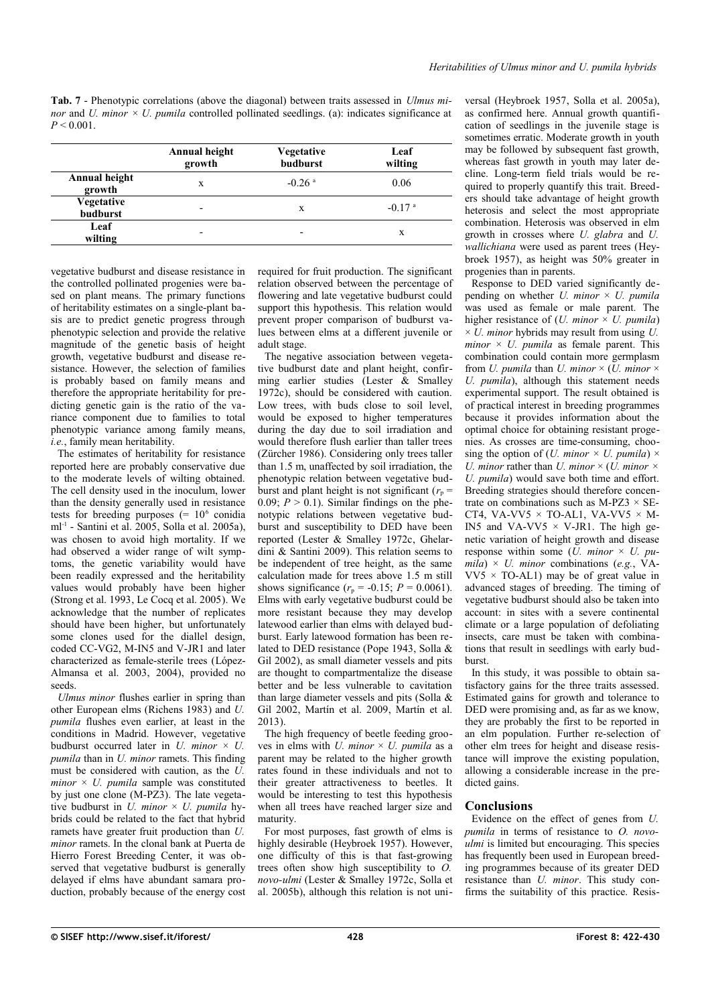<span id="page-6-0"></span>**Tab. 7** - Phenotypic correlations (above the diagonal) between traits assessed in *Ulmus minor* and *U. minor*  $\times$  *U. pumila* controlled pollinated seedlings. (a): indicates significance at  $P < 0.001$ .

|                               | Annual height<br>growth | <b>Vegetative</b><br>budburst | Leaf<br>wilting      |
|-------------------------------|-------------------------|-------------------------------|----------------------|
| Annual height<br>growth       | X                       | $-0.26$ <sup>a</sup>          | 0.06                 |
| Vegetative<br><b>budburst</b> |                         | X                             | $-0.17$ <sup>a</sup> |
| Leaf<br>wilting               |                         | $\overline{\phantom{0}}$      | X                    |

vegetative budburst and disease resistance in the controlled pollinated progenies were based on plant means. The primary functions of heritability estimates on a single-plant basis are to predict genetic progress through phenotypic selection and provide the relative magnitude of the genetic basis of height growth, vegetative budburst and disease resistance. However, the selection of families is probably based on family means and therefore the appropriate heritability for predicting genetic gain is the ratio of the variance component due to families to total phenotypic variance among family means, *i.e.*, family mean heritability.

The estimates of heritability for resistance reported here are probably conservative due to the moderate levels of wilting obtained. The cell density used in the inoculum, lower than the density generally used in resistance tests for breeding purposes  $(= 10<sup>6</sup>$  conidia ml-1 - Santini et al. 2005, Solla et al. 2005a), was chosen to avoid high mortality. If we had observed a wider range of wilt symptoms, the genetic variability would have been readily expressed and the heritability values would probably have been higher (Strong et al. 1993, Le Cocq et al. 2005). We acknowledge that the number of replicates should have been higher, but unfortunately some clones used for the diallel design, coded CC-VG2, M-IN5 and V-JR1 and later characterized as female-sterile trees (López-Almansa et al. 2003, 2004), provided no seeds.

*Ulmus minor* flushes earlier in spring than other European elms (Richens 1983) and *U. pumila* flushes even earlier, at least in the conditions in Madrid. However, vegetative budburst occurred later in  $U$ . *minor*  $\times U$ . *pumila* than in *U. minor* ramets. This finding must be considered with caution, as the *U.*  $minor \times U$ . pumila sample was constituted by just one clone (M-PZ3). The late vegetative budburst in *U. minor* × *U. pumila* hybrids could be related to the fact that hybrid ramets have greater fruit production than *U. minor* ramets. In the clonal bank at Puerta de Hierro Forest Breeding Center, it was observed that vegetative budburst is generally delayed if elms have abundant samara production, probably because of the energy cost required for fruit production. The significant relation observed between the percentage of flowering and late vegetative budburst could support this hypothesis. This relation would prevent proper comparison of budburst values between elms at a different juvenile or adult stage.

The negative association between vegetative budburst date and plant height, confirming earlier studies (Lester & Smalley 1972c), should be considered with caution. Low trees, with buds close to soil level, would be exposed to higher temperatures during the day due to soil irradiation and would therefore flush earlier than taller trees (Zürcher 1986). Considering only trees taller than 1.5 m, unaffected by soil irradiation, the phenotypic relation between vegetative budburst and plant height is not significant ( $r_p$  = 0.09;  $P > 0.1$ ). Similar findings on the phenotypic relations between vegetative budburst and susceptibility to DED have been reported (Lester & Smalley 1972c, Ghelardini & Santini 2009). This relation seems to be independent of tree height, as the same calculation made for trees above 1.5 m still shows significance  $(r_p = -0.15; P = 0.0061)$ . Elms with early vegetative budburst could be more resistant because they may develop latewood earlier than elms with delayed budburst. Early latewood formation has been related to DED resistance (Pope 1943, Solla & Gil 2002), as small diameter vessels and pits are thought to compartmentalize the disease better and be less vulnerable to cavitation than large diameter vessels and pits (Solla & Gil 2002, Martín et al. 2009, Martín et al. 2013).

The high frequency of beetle feeding grooves in elms with *U. minor*  $\times$  *U. pumila* as a parent may be related to the higher growth rates found in these individuals and not to their greater attractiveness to beetles. It would be interesting to test this hypothesis when all trees have reached larger size and maturity.

For most purposes, fast growth of elms is highly desirable (Heybroek 1957). However, one difficulty of this is that fast-growing trees often show high susceptibility to *O. novo-ulmi* (Lester & Smalley 1972c, Solla et al. 2005b), although this relation is not universal (Heybroek 1957, Solla et al. 2005a), as confirmed here. Annual growth quantification of seedlings in the juvenile stage is sometimes erratic. Moderate growth in youth may be followed by subsequent fast growth, whereas fast growth in youth may later decline. Long-term field trials would be required to properly quantify this trait. Breeders should take advantage of height growth heterosis and select the most appropriate combination. Heterosis was observed in elm growth in crosses where *U. glabra* and *U. wallichiana* were used as parent trees (Heybroek 1957), as height was 50% greater in progenies than in parents.

Response to DED varied significantly depending on whether *U. minor*  $\times$  *U. pumila* was used as female or male parent. The higher resistance of  $(U.$  minor  $\times$   $U.$  pumila)  $\times U$ . *minor* hybrids may result from using *U*. *minor* × *U. pumila* as female parent. This combination could contain more germplasm from *U. pumila* than *U. minor*  $\times$  (*U. minor*  $\times$ *U. pumila*), although this statement needs experimental support. The result obtained is of practical interest in breeding programmes because it provides information about the optimal choice for obtaining resistant progenies. As crosses are time-consuming, choosing the option of (*U. minor*  $\times$  *U. pumila*)  $\times$ *U. minor* rather than *U. minor* × (*U. minor × U. pumila*) would save both time and effort. Breeding strategies should therefore concentrate on combinations such as M-PZ3  $\times$  SE-CT4, VA-VV5  $\times$  TO-AL1, VA-VV5  $\times$  M-IN5 and VA-VV5  $\times$  V-JR1. The high genetic variation of height growth and disease response within some (*U. minor* × *U. pu* $mila \times U$ . *minor* combinations (e.g., VA- $VV5 \times TO-AL1$  may be of great value in advanced stages of breeding. The timing of vegetative budburst should also be taken into account: in sites with a severe continental climate or a large population of defoliating insects, care must be taken with combinations that result in seedlings with early budburst.

In this study, it was possible to obtain satisfactory gains for the three traits assessed. Estimated gains for growth and tolerance to DED were promising and, as far as we know, they are probably the first to be reported in an elm population. Further re-selection of other elm trees for height and disease resistance will improve the existing population, allowing a considerable increase in the predicted gains.

## **Conclusions**

Evidence on the effect of genes from *U. pumila* in terms of resistance to *O. novoulmi* is limited but encouraging. This species has frequently been used in European breeding programmes because of its greater DED resistance than *U. minor*. This study confirms the suitability of this practice. Resis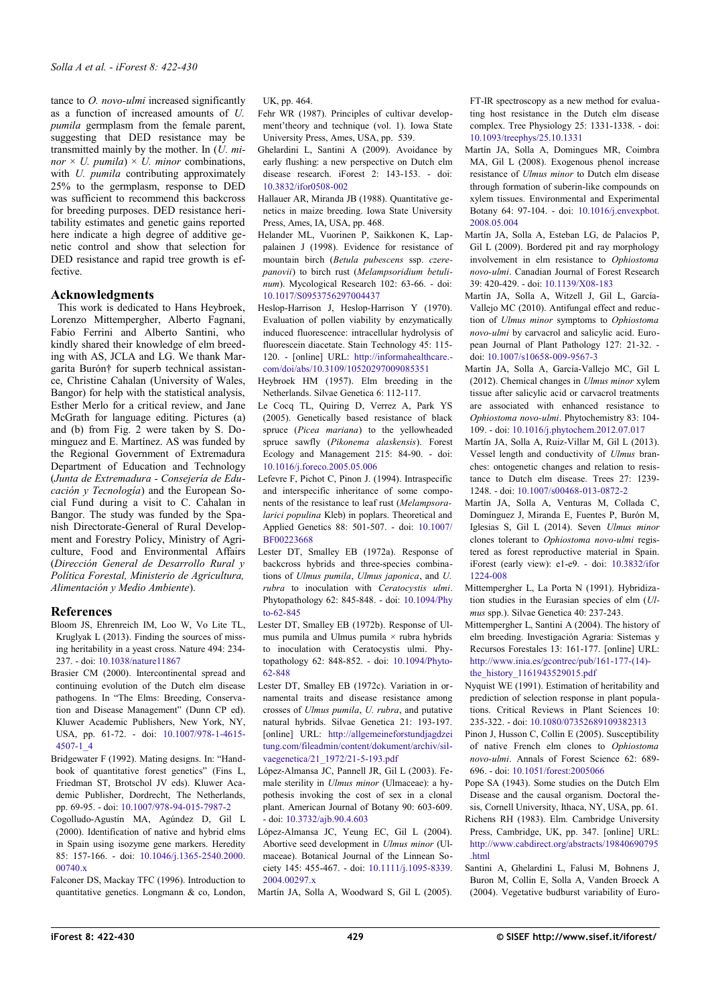tance to *O. novo-ulmi* increased significantly as a function of increased amounts of *U. pumila* germplasm from the female parent, suggesting that DED resistance may be transmitted mainly by the mother. In (*U. minor*  $\times$  *U. pumila*)  $\times$  *U. minor* combinations, with *U. pumila* contributing approximately 25% to the germplasm, response to DED was sufficient to recommend this backcross for breeding purposes. DED resistance heritability estimates and genetic gains reported here indicate a high degree of additive genetic control and show that selection for DED resistance and rapid tree growth is effective.

## **Acknowledgments**

This work is dedicated to Hans Heybroek, Lorenzo Mittempergher, Alberto Fagnani, Fabio Ferrini and Alberto Santini, who kindly shared their knowledge of elm breeding with AS, JCLA and LG. We thank Margarita Burón† for superb technical assistance, Christine Cahalan (University of Wales, Bangor) for help with the statistical analysis, Esther Merlo for a critical review, and Jane McGrath for language editing. Pictures (a) and (b) from Fig. 2 were taken by S. Dominguez and E. Martínez. AS was funded by the Regional Government of Extremadura Department of Education and Technology (*Junta de Extremadura - Consejería de Educación y Tecnología*) and the European Social Fund during a visit to C. Cahalan in Bangor. The study was funded by the Spanish Directorate-General of Rural Development and Forestry Policy, Ministry of Agriculture, Food and Environmental Affairs (*Dirección General de Desarrollo Rural y Política Forestal, Ministerio de Agricultura, Alimentación y Medio Ambiente*).

## **References**

- Bloom JS, Ehrenreich IM, Loo W, Vo Lite TL, Kruglyak L (2013). Finding the sources of missing heritability in a yeast cross. Nature 494: 234- 237. - doi: [10.1038/nature11867](http://dx.doi.org/10.1038/nature11867)
- Brasier CM (2000). Intercontinental spread and continuing evolution of the Dutch elm disease pathogens. In "The Elms: Breeding, Conservation and Disease Management" (Dunn CP ed). Kluwer Academic Publishers, New York, NY, USA, pp. 61-72. - doi: [10.1007/978-1-4615-](http://dx.doi.org/10.1007/978-1-4615-4507-1_4) [4507-1\\_4](http://dx.doi.org/10.1007/978-1-4615-4507-1_4)
- Bridgewater F (1992). Mating designs. In: "Handbook of quantitative forest genetics" (Fins L, Friedman ST, Brotschol JV eds). Kluwer Academic Publisher, Dordrecht, The Netherlands, pp. 69-95. - doi: [10.1007/978-94-015-7987-2](http://dx.doi.org/10.1007/978-94-015-7987-2)
- Cogolludo-Agustín MA, Agúndez D, Gil L (2000). Identification of native and hybrid elms in Spain using isozyme gene markers. Heredity 85: 157-166. - doi: [10.1046/j.1365-2540.2000.](http://dx.doi.org/10.1046/j.1365-2540.2000.00740.x) 00740 x
- Falconer DS, Mackay TFC (1996). Introduction to quantitative genetics. Longmann & co, London,

UK, pp. 464.

- Fehr WR (1987). Principles of cultivar development'theory and technique (vol. 1). Iowa State University Press, Ames, USA, pp. 539.
- Ghelardini L, Santini A (2009). Avoidance by early flushing: a new perspective on Dutch elm disease research. iForest 2: 143-153. - doi: [10.3832/ifor0508-002](http://dx.doi.org/10.3832/ifor0508-002)
- Hallauer AR, Miranda JB (1988). Quantitative genetics in maize breeding. Iowa State University Press, Ames, IA, USA, pp. 468.
- Helander ML, Vuorinen P, Saikkonen K, Lappalainen J (1998). Evidence for resistance of mountain birch (*Betula pubescens* ssp. *czerepanovii*) to birch rust (*Melampsoridium betulinum*). Mycological Research 102: 63-66. - doi: [10.1017/S0953756297004437](http://dx.doi.org/10.1017/S0953756297004437)

Heslop-Harrison J, Heslop-Harrison Y (1970). Evaluation of pollen viability by enzymatically induced fluorescence: intracellular hydrolysis of fluorescein diacetate. Stain Technology 45: 115- 120. - [online] URL: [http://informahealthcare.](http://informahealthcare.com/doi/abs/10.3109/10520297009085351) [com/doi/abs/10.3109/10520297009085351](http://informahealthcare.com/doi/abs/10.3109/10520297009085351)

- Heybroek HM (1957). Elm breeding in the Netherlands. Silvae Genetica 6: 112-117.
- Le Cocq TL, Quiring D, Verrez A, Park YS (2005). Genetically based resistance of black spruce (*Picea mariana*) to the yellowheaded spruce sawfly (*Pikonema alaskensis*). Forest Ecology and Management 215: 84-90. - doi: [10.1016/j.foreco.2005.05.006](http://dx.doi.org/10.1016/j.foreco.2005.05.006)

Lefevre F, Pichot C, Pinon J. (1994). Intraspecific and interspecific inheritance of some components of the resistance to leaf rust (*Melampsoralarici populina* Kleb) in poplars. Theoretical and Applied Genetics 88: 501-507. - doi: [10.1007/](http://dx.doi.org/10.1007/BF00223668) [BF00223668](http://dx.doi.org/10.1007/BF00223668)

Lester DT, Smalley EB (1972a). Response of backcross hybrids and three-species combinations of *Ulmus pumila*, *Ulmus japonica*, and *U. rubra* to inoculation with *Ceratocystis ulmi*. Phytopathology 62: 845-848. - doi: [10.1094/Phy](http://dx.doi.org/10.1094/Phyto-62-845) [to-62-845](http://dx.doi.org/10.1094/Phyto-62-845)

Lester DT, Smalley EB (1972b). Response of Ulmus pumila and Ulmus pumila  $\times$  rubra hybrids to inoculation with Ceratocystis ulmi. Phytopathology 62: 848-852. - doi: [10.1094/Phyto-](http://dx.doi.org/10.1094/Phyto-62-848)[62-848](http://dx.doi.org/10.1094/Phyto-62-848)

- Lester DT, Smalley EB (1972c). Variation in ornamental traits and disease resistance among crosses of *Ulmus pumila*, *U. rubra*, and putative natural hybrids. Silvae Genetica 21: 193-197. [online] URL: [http://allgemeineforstundjagdzei](http://allgemeineforstundjagdzeitung.com/fileadmin/content/dokument/archiv/silvaegenetica/21_1972/21-5-193.pdf) [tung.com/fileadmin/content/dokument/archiv/sil](http://allgemeineforstundjagdzeitung.com/fileadmin/content/dokument/archiv/silvaegenetica/21_1972/21-5-193.pdf)[vaegenetica/21\\_1972/21-5-193.pdf](http://allgemeineforstundjagdzeitung.com/fileadmin/content/dokument/archiv/silvaegenetica/21_1972/21-5-193.pdf)
- López-Almansa JC, Pannell JR, Gil L (2003). Female sterility in *Ulmus minor* (Ulmaceae): a hypothesis invoking the cost of sex in a clonal plant. American Journal of Botany 90: 603-609. - doi: [10.3732/ajb.90.4.603](http://dx.doi.org/10.3732/ajb.90.4.603)
- López-Almansa JC, Yeung EC, Gil L (2004). Abortive seed development in *Ulmus minor* (Ulmaceae). Botanical Journal of the Linnean Society 145: 455-467. - doi: [10.1111/j.1095-8339.](http://dx.doi.org/10.1111/j.1095-8339.2004.00297.x) 2004.00297x

Martín JA, Solla A, Woodward S, Gil L (2005).

FT-IR spectroscopy as a new method for evaluating host resistance in the Dutch elm disease complex. Tree Physiology 25: 1331-1338. - doi: [10.1093/treephys/25.10.1331](http://dx.doi.org/10.1093/treephys/25.10.1331)

- Martín JA, Solla A, Domingues MR, Coimbra MA, Gil L (2008). Exogenous phenol increase resistance of *Ulmus minor* to Dutch elm disease through formation of suberin-like compounds on xylem tissues. Environmental and Experimental Botany 64: 97-104. - doi: [10.1016/j.envexpbot.](http://dx.doi.org/10.1016/j.envexpbot.2008.05.004) [2008.05.004](http://dx.doi.org/10.1016/j.envexpbot.2008.05.004)
- Martín JA, Solla A, Esteban LG, de Palacios P, Gil L (2009). Bordered pit and ray morphology involvement in elm resistance to *Ophiostoma novo-ulmi*. Canadian Journal of Forest Research 39: 420-429. - doi: [10.1139/X08-183](http://dx.doi.org/10.1139/X08-183)
- Martín JA, Solla A, Witzell J, Gil L, García-Vallejo MC (2010). Antifungal effect and reduction of *Ulmus minor* symptoms to *Ophiostoma novo-ulmi* by carvacrol and salicylic acid. European Journal of Plant Pathology 127: 21-32. doi: [10.1007/s10658-009-9567-3](http://dx.doi.org/10.1007/s10658-009-9567-3)
- Martín JA, Solla A, García-Vallejo MC, Gil L (2012). Chemical changes in *Ulmus minor* xylem tissue after salicylic acid or carvacrol treatments are associated with enhanced resistance to *Ophiostoma novo-ulmi*. Phytochemistry 83: 104- 109. - doi: [10.1016/j.phytochem.2012.07.017](http://dx.doi.org/10.1016/j.phytochem.2012.07.017)
- Martín JA, Solla A, Ruiz-Villar M, Gil L (2013). Vessel length and conductivity of *Ulmus* branches: ontogenetic changes and relation to resistance to Dutch elm disease. Trees 27: 1239- 1248. - doi: [10.1007/s00468-013-0872-2](http://dx.doi.org/10.1007/s00468-013-0872-2)
- Martín JA, Solla A, Venturas M, Collada C, Domínguez J, Miranda E, Fuentes P, Burón M, Iglesias S, Gil L (2014). Seven *Ulmus minor* clones tolerant to *Ophiostoma novo-ulmi* registered as forest reproductive material in Spain. iForest (early view): e1-e9. - doi: [10.3832/ifor](http://dx.doi.org/10.3832/ifor1224-008) [1224-008](http://dx.doi.org/10.3832/ifor1224-008)
- Mittempergher L, La Porta N (1991). Hybridization studies in the Eurasian species of elm (*Ulmus* spp.). Silvae Genetica 40: 237-243.

Mittempergher L, Santini A (2004). The history of elm breeding. Investigación Agraria: Sistemas y Recursos Forestales 13: 161-177. [online] URL: [http://www.inia.es/gcontrec/pub/161-177-\(14\)](http://www.inia.es/gcontrec/pub/161-177-(14)-the_history_1161943529015.pdf) [the\\_history\\_1161943529015.pdf](http://www.inia.es/gcontrec/pub/161-177-(14)-the_history_1161943529015.pdf)

- Nyquist WE (1991). Estimation of heritability and prediction of selection response in plant populations. Critical Reviews in Plant Sciences 10: 235-322. - doi: [10.1080/07352689109382313](http://dx.doi.org/10.1080/07352689109382313)
- Pinon J, Husson C, Collin E (2005). Susceptibility of native French elm clones to *Ophiostoma novo-ulmi*. Annals of Forest Science 62: 689- 696. - doi: [10.1051/forest:2005066](http://dx.doi.org/10.1051/forest:2005066)
- Pope SA (1943). Some studies on the Dutch Elm Disease and the causal organism. Doctoral thesis, Cornell University, Ithaca, NY, USA, pp. 61.
- Richens RH (1983). Elm. Cambridge University Press, Cambridge, UK, pp. 347. [online] URL: [http://www.cabdirect.org/abstracts/19840690795](http://www.cabdirect.org/abstracts/19840690795.html) [.html](http://www.cabdirect.org/abstracts/19840690795.html)
- Santini A, Ghelardini L, Falusi M, Bohnens J, Buron M, Collin E, Solla A, Vanden Broeck A (2004). Vegetative budburst variability of Euro-